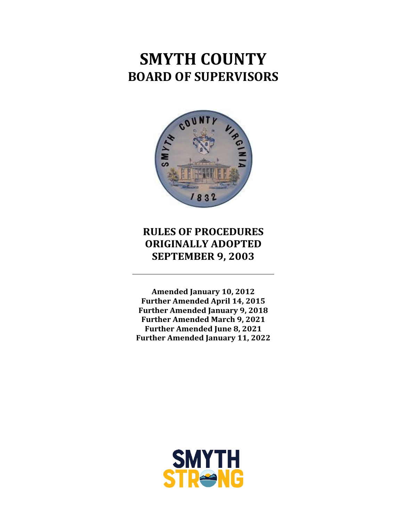# **SMYTH COUNTY BOARD OF SUPERVISORS**



# **RULES OF PROCEDURES ORIGINALLY ADOPTED SEPTEMBER 9, 2003**

**Amended January 10, 2012 Further Amended April 14, 2015 Further Amended January 9, 2018 Further Amended March 9, 2021 Further Amended June 8, 2021 Further Amended January 11, 2022**

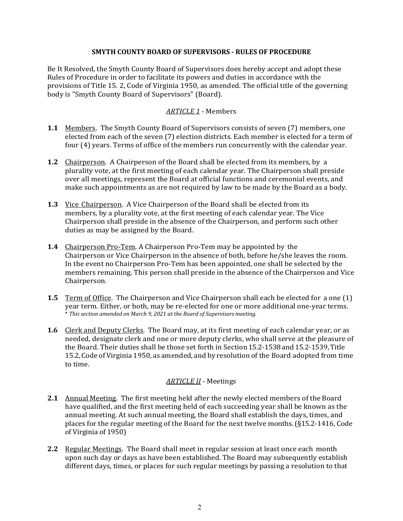#### **SMYTH COUNTY BOARD OF SUPERVISORS ‐ RULES OF PROCEDURE**

Be It Resolved, the Smyth County Board of Supervisors does hereby accept and adopt these Rules of Procedure in order to facilitate its powers and duties in accordance with the provisions of Title 15. 2, Code of Virginia 1950, as amended. The official title of the governing body is "Smyth County Board of Supervisors" (Board).

### *ARTICLE 1* - Members

- **1.1** Members. The Smyth County Board of Supervisors consists of seven (7) members, one elected from each of the seven (7) election districts. Each member is elected for a term of four (4) years. Terms of office of the members run concurrently with the calendar year.
- **1.2** Chairperson. A Chairperson of the Board shall be elected from its members, by a plurality vote, at the first meeting of each calendar year. The Chairperson shall preside over all meetings, represent the Board at official functions and ceremonial events, and make such appointments as are not required by law to be made by the Board as a body.
- **1.3** Vice Chairperson. A Vice Chairperson of the Board shall be elected from its members, by a plurality vote, at the first meeting of each calendar year. The Vice Chairperson shall preside in the absence of the Chairperson, and perform such other duties as may be assigned by the Board.
- **1.4** Chairperson Pro-Tem. A Chairperson Pro-Tem may be appointed by the Chairperson or Vice Chairperson in the absence of both, before he/she leaves the room. In the event no Chairperson Pro-Tem has been appointed, one shall be selected by the members remaining. This person shall preside in the absence of the Chairperson and Vice Chairperson.
- **1.5** Term of Office. The Chairperson and Vice Chairperson shall each be elected for a one (1) year term. Either, or both, may be re-elected for one or more additional one-year terms. \* *This section amended on March 9, 2021 at the Board of Supervisors meeting.*
- **1.6** Clerk and Deputy Clerks. The Board may, at its first meeting of each calendar year, or as needed, designate clerk and one or more deputy clerks, who shall serve at the pleasure of the Board. Their duties shall be those set forth in Section 15.2-1538 and 15.2-1539, Title 15.2, Code of Virginia 1950, as amended, and by resolution of the Board adopted from time to time.

#### *ARTICLE II* - Meetings

- **2.1** Annual Meeting. The first meeting held after the newly elected members of the Board have qualified, and the first meeting held of each succeeding year shall be known as the annual meeting. At such annual meeting, the Board shall establish the days, times, and places for the regular meeting of the Board for the next twelve months. (§15.2-1416, Code of Virginia of 1950)
- **2.2** Regular Meetings. The Board shall meet in regular session at least once each month upon such day or days as have been established. The Board may subsequently establish different days, times, or places for such regular meetings by passing a resolution to that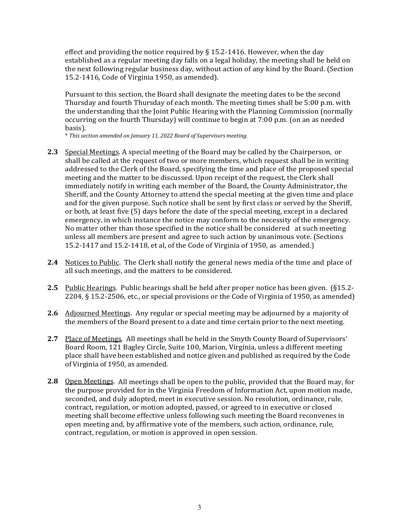effect and providing the notice required by  $\S$  15.2-1416. However, when the day established as a regular meeting day falls on a legal holiday, the meeting shall be held on the next following regular business day, without action of any kind by the Board. (Section 15.2-1416, Code of Virginia 1950, as amended).

Pursuant to this section, the Board shall designate the meeting dates to be the second Thursday and fourth Thursday of each month. The meeting times shall be 5:00 p.m. with the understanding that the Joint Public Hearing with the Planning Commission (normally occurring on the fourth Thursday) will continue to begin at 7:00 p.m. (on an as needed basis).

\* *This section amended on January 11, 2022 Board of Supervisors meeting.*

- **2.3** Special Meetings. A special meeting of the Board may be called by the Chairperson, or shall be called at the request of two or more members, which request shall be in writing addressed to the Clerk of the Board, specifying the time and place of the proposed special meeting and the matter to be discussed. Upon receipt of the request, the Clerk shall immediately notify in writing each member of the Board, the County Administrator, the Sheriff, and the County Attorney to attend the special meeting at the given time and place and for the given purpose. Such notice shall be sent by first class or served by the Sheriff, or both, at least five (5) days before the date of the special meeting, except in a declared emergency, in which instance the notice may conform to the necessity of the emergency. No matter other than those specified in the notice shall be considered at such meeting unless all members are present and agree to such action by unanimous vote. (Sections 15.2-1417 and 15.2-1418, et al, of the Code of Virginia of 1950, as amended.)
- **2.4** Notices to Public. The Clerk shall notify the general news media of the time and place of all such meetings, and the matters to be considered.
- **2.5** Public Hearings. Public hearings shall be held after proper notice has been given. (§15.2-2204, § 15.2-2506, etc., or special provisions or the Code of Virginia of 1950, as amended)
- **2.6** Adjourned Meetings. Any regular or special meeting may be adjourned by a majority of the members of the Board present to a date and time certain prior to the next meeting.
- **2.7** Place of Meetings. All meetings shall be held in the Smyth County Board of Supervisors' Board Room, 121 Bagley Circle, Suite 100, Marion, Virginia, unless a different meeting place shall have been established and notice given and published as required by the Code of Virginia of 1950, as amended.
- **2.8** Open Meetings. All meetings shall be open to the public, provided that the Board may, for the purpose provided for in the Virginia Freedom of Information Act, upon motion made, seconded, and duly adopted, meet in executive session. No resolution, ordinance, rule, contract, regulation, or motion adopted, passed, or agreed to in executive or closed meeting shall become effective unless following such meeting the Board reconvenes in open meeting and, by affirmative vote of the members, such action, ordinance, rule, contract, regulation, or motion is approved in open session.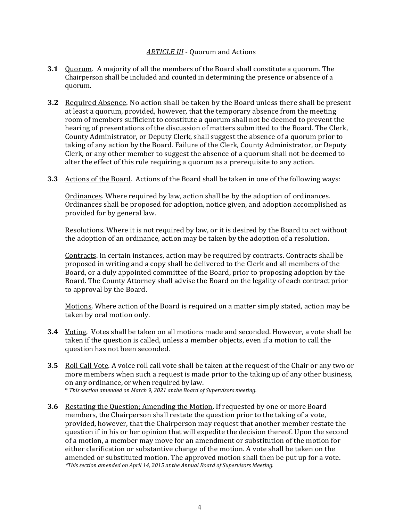#### *ARTICLE III* - Quorum and Actions

- **3.1** Ouorum. A majority of all the members of the Board shall constitute a quorum. The Chairperson shall be included and counted in determining the presence or absence of a quorum.
- **3.2** Required Absence. No action shall be taken by the Board unless there shall be present at least a quorum, provided, however, that the temporary absence from the meeting room of members sufficient to constitute a quorum shall not be deemed to prevent the hearing of presentations of the discussion of matters submitted to the Board. The Clerk, County Administrator, or Deputy Clerk, shall suggest the absence of a quorum prior to taking of any action by the Board. Failure of the Clerk, County Administrator, or Deputy Clerk, or any other member to suggest the absence of a quorum shall not be deemed to alter the effect of this rule requiring a quorum as a prerequisite to any action.
- **3.3** Actions of the Board. Actions of the Board shall be taken in one of the following ways:

Ordinances. Where required by law, action shall be by the adoption of ordinances. Ordinances shall be proposed for adoption, notice given, and adoption accomplished as provided for by general law.

Resolutions. Where it is not required by law, or it is desired by the Board to act without the adoption of an ordinance, action may be taken by the adoption of a resolution.

Contracts. In certain instances, action may be required by contracts. Contracts shall be proposed in writing and a copy shall be delivered to the Clerk and all members of the Board, or a duly appointed committee of the Board, prior to proposing adoption by the Board. The County Attorney shall advise the Board on the legality of each contract prior to approval by the Board.

Motions. Where action of the Board is required on a matter simply stated, action may be taken by oral motion only.

- **3.4**  Voting. Votes shall be taken on all motions made and seconded. However, a vote shall be taken if the question is called, unless a member objects, even if a motion to call the question has not been seconded.
- **3.5** Roll Call Vote. A voice roll call vote shall be taken at the request of the Chair or any two or more members when such a request is made prior to the taking up of any other business, on any ordinance, or when required by law. \* *This section amended on March 9, 2021 at the Board of Supervisors meeting.*
- **3.6** Restating the Question; Amending the Motion. If requested by one or more Board members, the Chairperson shall restate the question prior to the taking of a vote, provided, however, that the Chairperson may request that another member restate the question if in his or her opinion that will expedite the decision thereof. Upon the second of a motion, a member may move for an amendment or substitution of the motion for either clarification or substantive change of the motion. A vote shall be taken on the amended or substituted motion. The approved motion shall then be put up for a vote. *\*This section amended on April 14, 2015 at the Annual Board of Supervisors Meeting.*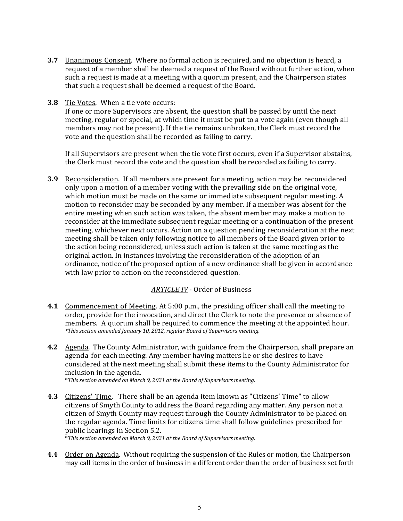- **3.7** Unanimous Consent. Where no formal action is required, and no objection is heard, a request of a member shall be deemed a request of the Board without further action, when such a request is made at a meeting with a quorum present, and the Chairperson states that such a request shall be deemed a request of the Board.
- **3.8** Tie Votes. When a tie vote occurs:

If one or more Supervisors are absent, the question shall be passed by until the next meeting, regular or special, at which time it must be put to a vote again (even though all members may not be present). If the tie remains unbroken, the Clerk must record the vote and the question shall be recorded as failing to carry.

If all Supervisors are present when the tie vote first occurs, even if a Supervisor abstains, the Clerk must record the vote and the question shall be recorded as failing to carry.

**3.9** Reconsideration. If all members are present for a meeting, action may be reconsidered only upon a motion of a member voting with the prevailing side on the original vote, which motion must be made on the same or immediate subsequent regular meeting. A motion to reconsider may be seconded by any member. If a member was absent for the entire meeting when such action was taken, the absent member may make a motion to reconsider at the immediate subsequent regular meeting or a continuation of the present meeting, whichever next occurs. Action on a question pending reconsideration at the next meeting shall be taken only following notice to all members of the Board given prior to the action being reconsidered, unless such action is taken at the same meeting as the original action. In instances involving the reconsideration of the adoption of an ordinance, notice of the proposed option of a new ordinance shall be given in accordance with law prior to action on the reconsidered question.

#### *ARTICLE IV* - Order of Business

- **4.1** Commencement of Meeting. At 5:00 p.m., the presiding officer shall call the meeting to order, provide for the invocation, and direct the Clerk to note the presence or absence of members. A quorum shall be required to commence the meeting at the appointed hour. *\*This section amended January 10, 2012, regular Board of Supervisors meeting.*
- **4.2** Agenda. The County Administrator, with guidance from the Chairperson, shall prepare an agenda for each meeting. Any member having matters he or she desires to have considered at the next meeting shall submit these items to the County Administrator for inclusion in the agenda.

\**This section amended on March 9, 2021 at the Board of Supervisors meeting.*

- **4.3** Citizens' Time. There shall be an agenda item known as "Citizens' Time" to allow citizens of Smyth County to address the Board regarding any matter. Any person not a citizen of Smyth County may request through the County Administrator to be placed on the regular agenda. Time limits for citizens time shall follow guidelines prescribed for public hearings in Section 5.2. \**This section amended on March 9, 2021 at the Board of Supervisors meeting.*
- **4.4** Order on Agenda. Without requiring the suspension of the Rules or motion, the Chairperson may call items in the order of business in a different order than the order of business set forth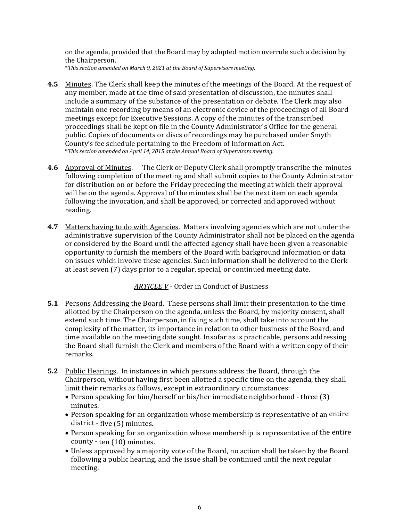on the agenda, provided that the Board may by adopted motion overrule such a decision by the Chairperson.

\**This section amended on March 9, 2021 at the Board of Supervisors meeting.*

- **4.5** Minutes. The Clerk shall keep the minutes of the meetings of the Board. At the request of any member, made at the time of said presentation of discussion, the minutes shall include a summary of the substance of the presentation or debate. The Clerk may also maintain one recording by means of an electronic device of the proceedings of all Board meetings except for Executive Sessions. A copy of the minutes of the transcribed proceedings shall be kept on file in the County Administrator's Office for the general public. Copies of documents or discs of recordings may be purchased under Smyth County's fee schedule pertaining to the Freedom of Information Act. \**This section amended on April 14, 2015 at the Annual Board of Supervisors meeting.*
- **4.6**  Approval of Minutes. The Clerk or Deputy Clerk shall promptly transcribe the minutes following completion of the meeting and shall submit copies to the County Administrator for distribution on or before the Friday preceding the meeting at which their approval will be on the agenda. Approval of the minutes shall be the next item on each agenda following the invocation, and shall be approved, or corrected and approved without reading.
- **4.7** Matters having to do with Agencies. Matters involving agencies which are not under the administrative supervision of the County Administrator shall not be placed on the agenda or considered by the Board until the affected agency shall have been given a reasonable opportunity to furnish the members of the Board with background information or data on issues which involve these agencies. Such information shall be delivered to the Clerk at least seven (7) days prior to a regular, special, or continued meeting date.

*ARTICLE V* - Order in Conduct of Business

- **5.1** Persons Addressing the Board. These persons shall limit their presentation to the time allotted by the Chairperson on the agenda, unless the Board, by majority consent, shall extend such time. The Chairperson, in fixing such time, shall take into account the complexity of the matter, its importance in relation to other business of the Board, and time available on the meeting date sought. Insofar as is practicable, persons addressing the Board shall furnish the Clerk and members of the Board with a written copy of their remarks.
- **5.2** Public Hearings. In instances in which persons address the Board, through the Chairperson, without having first been allotted a specific time on the agenda, they shall limit their remarks as follows, except in extraordinary circumstances:
	- Person speaking for him/herself or his/her immediate neighborhood three (3) minutes.
	- Person speaking for an organization whose membership is representative of an entire district - five (5) minutes.
	- Person speaking for an organization whose membership is representative of the entire county - ten (10) minutes.
	- Unless approved by a majority vote of the Board, no action shall be taken by the Board following a public hearing, and the issue shall be continued until the next regular meeting.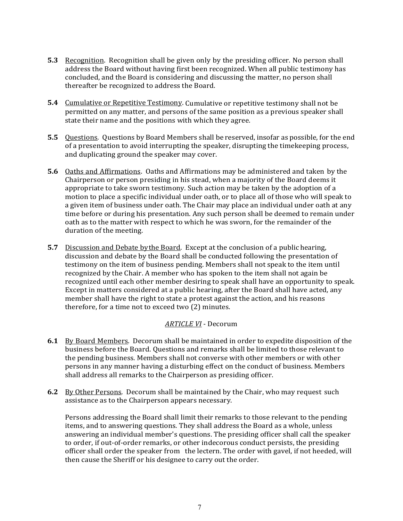- **5.3** Recognition. Recognition shall be given only by the presiding officer. No person shall address the Board without having first been recognized. When all public testimony has concluded, and the Board is considering and discussing the matter, no person shall thereafter be recognized to address the Board.
- **5.4** Cumulative or Repetitive Testimony. Cumulative or repetitive testimony shall not be permitted on any matter, and persons of the same position as a previous speaker shall state their name and the positions with which they agree.
- **5.5** Ouestions. Questions by Board Members shall be reserved, insofar as possible, for the end of a presentation to avoid interrupting the speaker, disrupting the timekeeping process, and duplicating ground the speaker may cover.
- **5.6** Oaths and Affirmations. Oaths and Affirmations may be administered and taken by the Chairperson or person presiding in his stead, when a majority of the Board deems it appropriate to take sworn testimony. Such action may be taken by the adoption of a motion to place a specific individual under oath, or to place all of those who will speak to a given item of business under oath. The Chair may place an individual under oath at any time before or during his presentation. Any such person shall be deemed to remain under oath as to the matter with respect to which he was sworn, for the remainder of the duration of the meeting.
- **5.7** Discussion and Debate by the Board. Except at the conclusion of a public hearing, discussion and debate by the Board shall be conducted following the presentation of testimony on the item of business pending. Members shall not speak to the item until recognized by the Chair. A member who has spoken to the item shall not again be recognized until each other member desiring to speak shall have an opportunity to speak. Except in matters considered at a public hearing, after the Board shall have acted, any member shall have the right to state a protest against the action, and his reasons therefore, for a time not to exceed two (2) minutes.

## *ARTICLE VI* - Decorum

- **6.1** By Board Members. Decorum shall be maintained in order to expedite disposition of the business before the Board. Questions and remarks shall be limited to those relevant to the pending business. Members shall not converse with other members or with other persons in any manner having a disturbing effect on the conduct of business. Members shall address all remarks to the Chairperson as presiding officer.
- **6.2**  By Other Persons. Decorum shall be maintained by the Chair, who may request such assistance as to the Chairperson appears necessary.

Persons addressing the Board shall limit their remarks to those relevant to the pending items, and to answering questions. They shall address the Board as a whole, unless answering an individual member's questions. The presiding officer shall call the speaker to order, if out-of-order remarks, or other indecorous conduct persists, the presiding officer shall order the speaker from the lectern. The order with gavel, if not heeded, will then cause the Sheriff or his designee to carry out the order.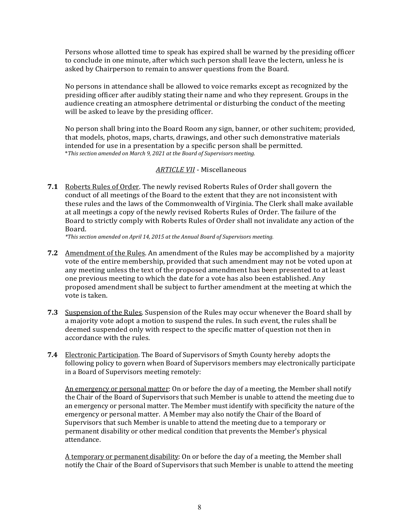Persons whose allotted time to speak has expired shall be warned by the presiding officer to conclude in one minute, after which such person shall leave the lectern, unless he is asked by Chairperson to remain to answer questions from the Board.

No persons in attendance shall be allowed to voice remarks except as recognized by the presiding officer after audibly stating their name and who they represent. Groups in the audience creating an atmosphere detrimental or disturbing the conduct of the meeting will be asked to leave by the presiding officer.

No person shall bring into the Board Room any sign, banner, or other such item; provided, that models, photos, maps, charts, drawings, and other such demonstrative materials intended for use in a presentation by a specific person shall be permitted. \**This section amended on March 9, 2021 at the Board of Supervisors meeting.*

#### *ARTICLE VII* - Miscellaneous

**7.1**  Roberts Rules of Order. The newly revised Roberts Rules of Order shall govern the conduct of all meetings of the Board to the extent that they are not inconsistent with these rules and the laws of the Commonwealth of Virginia. The Clerk shall make available at all meetings a copy of the newly revised Roberts Rules of Order. The failure of the Board to strictly comply with Roberts Rules of Order shall not invalidate any action of the Board.

*\*This section amended on April 14, 2015 at the Annual Board of Supervisors meeting.*

- **7.2** Amendment of the Rules. An amendment of the Rules may be accomplished by a majority vote of the entire membership, provided that such amendment may not be voted upon at any meeting unless the text of the proposed amendment has been presented to at least one previous meeting to which the date for a vote has also been established. Any proposed amendment shall be subject to further amendment at the meeting at which the vote is taken.
- **7.3**  Suspension of the Rules. Suspension of the Rules may occur whenever the Board shall by a majority vote adopt a motion to suspend the rules. In such event, the rules shall be deemed suspended only with respect to the specific matter of question not then in accordance with the rules.
- **7.4** Electronic Participation. The Board of Supervisors of Smyth County hereby adopts the following policy to govern when Board of Supervisors members may electronically participate in a Board of Supervisors meeting remotely:

An emergency or personal matter: On or before the day of a meeting, the Member shall notify the Chair of the Board of Supervisors that such Member is unable to attend the meeting due to an emergency or personal matter. The Member must identify with specificity the nature of the emergency or personal matter. A Member may also notify the Chair of the Board of Supervisors that such Member is unable to attend the meeting due to a temporary or permanent disability or other medical condition that prevents the Member's physical attendance.

A temporary or permanent disability: On or before the day of a meeting, the Member shall notify the Chair of the Board of Supervisors that such Member is unable to attend the meeting